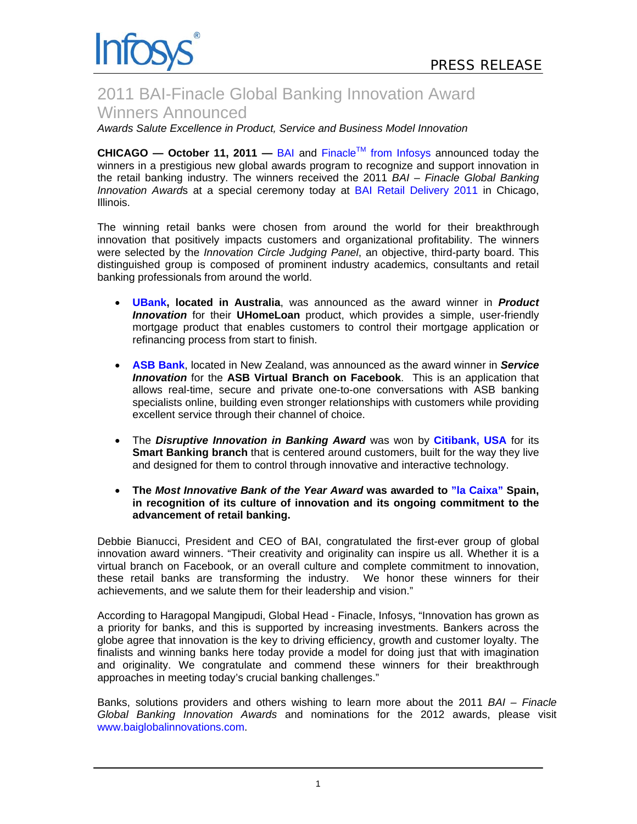

# 2011 BAI-Finacle Global Banking Innovation Award Winners Announced

*Awards Salute Excellence in Product, Service and Business Model Innovation*

**CHICAGO** — October 11, 2011 — [BAI](http://www.bai.org/) and Finacle<sup>TM</sup> from Infosys announced today the winners in a prestigious new global awards program to recognize and support innovation in the retail banking industry. The winners received the 2011 *BAI – Finacle Global Banking Innovation Award*s at a special ceremony today at [BAI Retail Delivery 2011](http://www.bai.org/retaildelivery) in Chicago, Illinois.

The winning retail banks were chosen from around the world for their breakthrough innovation that positively impacts customers and organizational profitability. The winners were selected by the *Innovation Circle Judging Panel*, an objective, third-party board. This distinguished group is composed of prominent industry academics, consultants and retail banking professionals from around the world.

- **[UBank](http://www.ubank.com.au/), located in Australia**, was announced as the award winner in *Product Innovation* for their **UHomeLoan** product, which provides a simple, user-friendly mortgage product that enables customers to control their mortgage application or refinancing process from start to finish.
- **[ASB Bank](http://www.asb.co.nz/)**, located in New Zealand, was announced as the award winner in *Service Innovation* for the **ASB Virtual Branch on Facebook**. This is an application that allows real-time, secure and private one-to-one conversations with ASB banking specialists online, building even stronger relationships with customers while providing excellent service through their channel of choice.
- The *Disruptive Innovation in Banking Award* was won by **[Citibank, USA](https://online.citibank.com/US/Welcome.c)** for its **Smart Banking branch** that is centered around customers, built for the way they live and designed for them to control through innovative and interactive technology.
- **The** *Most Innovative Bank of the Year Award* **was awarded to ["la Caixa"](http://portal.lacaixa.es/general/nuevocliente_es.html) Spain, in recognition of its culture of innovation and its ongoing commitment to the advancement of retail banking.**

Debbie Bianucci, President and CEO of BAI, congratulated the first-ever group of global innovation award winners. "Their creativity and originality can inspire us all. Whether it is a virtual branch on Facebook, or an overall culture and complete commitment to innovation, these retail banks are transforming the industry. We honor these winners for their achievements, and we salute them for their leadership and vision."

According to Haragopal Mangipudi, Global Head - Finacle, Infosys, "Innovation has grown as a priority for banks, and this is supported by increasing investments. Bankers across the globe agree that innovation is the key to driving efficiency, growth and customer loyalty. The finalists and winning banks here today provide a model for doing just that with imagination and originality. We congratulate and commend these winners for their breakthrough approaches in meeting today's crucial banking challenges."

Banks, solutions providers and others wishing to learn more about the 2011 *BAI – Finacle Global Banking Innovation Awards* and nominations for the 2012 awards, please visit www.baiglobalinnovations.com.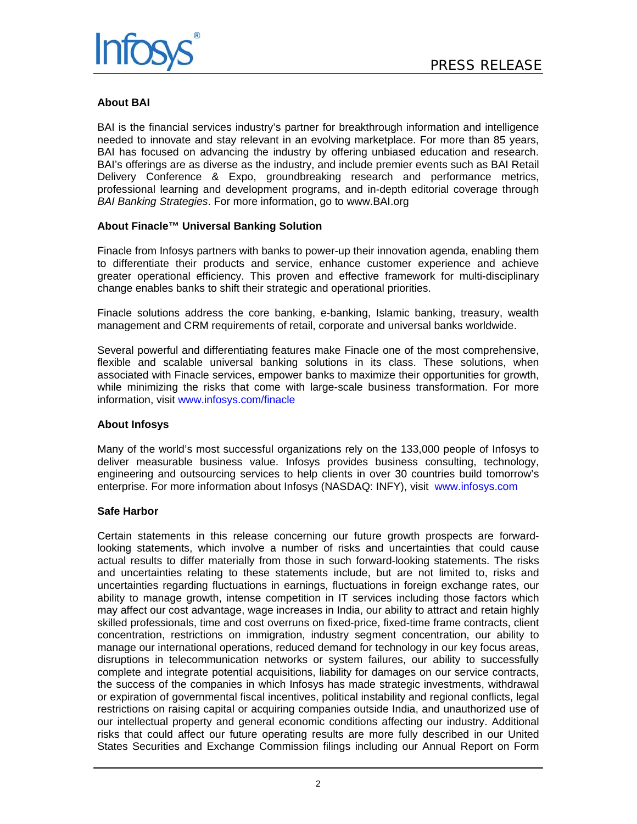

# **About BAI**

BAI is the financial services industry's partner for breakthrough information and intelligence needed to innovate and stay relevant in an evolving marketplace. For more than 85 years, BAI has focused on advancing the industry by offering unbiased education and research. BAI's offerings are as diverse as the industry, and include premier events such as BAI Retail Delivery Conference & Expo, groundbreaking research and performance metrics, professional learning and development programs, and in-depth editorial coverage through *BAI Banking Strategies*. For more information, go to www.BAI.org

## **About Finacle™ Universal Banking Solution**

Finacle from Infosys partners with banks to power-up their innovation agenda, enabling them to differentiate their products and service, enhance customer experience and achieve greater operational efficiency. This proven and effective framework for multi-disciplinary change enables banks to shift their strategic and operational priorities.

Finacle solutions address the core banking, e-banking, Islamic banking, treasury, wealth management and CRM requirements of retail, corporate and universal banks worldwide.

Several powerful and differentiating features make Finacle one of the most comprehensive, flexible and scalable universal banking solutions in its class. These solutions, when associated with Finacle services, empower banks to maximize their opportunities for growth, while minimizing the risks that come with large-scale business transformation. For more information, visit www.infosys.com/finacle

#### **About Infosys**

Many of the world's most successful organizations rely on the 133,000 people of Infosys to deliver measurable business value. Infosys provides business consulting, technology, engineering and outsourcing services to help clients in over 30 countries build tomorrow's enterprise. For more information about Infosys (NASDAQ: INFY), visit www.infosys.com

#### **Safe Harbor**

Certain statements in this release concerning our future growth prospects are forwardlooking statements, which involve a number of risks and uncertainties that could cause actual results to differ materially from those in such forward-looking statements. The risks and uncertainties relating to these statements include, but are not limited to, risks and uncertainties regarding fluctuations in earnings, fluctuations in foreign exchange rates, our ability to manage growth, intense competition in IT services including those factors which may affect our cost advantage, wage increases in India, our ability to attract and retain highly skilled professionals, time and cost overruns on fixed-price, fixed-time frame contracts, client concentration, restrictions on immigration, industry segment concentration, our ability to manage our international operations, reduced demand for technology in our key focus areas, disruptions in telecommunication networks or system failures, our ability to successfully complete and integrate potential acquisitions, liability for damages on our service contracts, the success of the companies in which Infosys has made strategic investments, withdrawal or expiration of governmental fiscal incentives, political instability and regional conflicts, legal restrictions on raising capital or acquiring companies outside India, and unauthorized use of our intellectual property and general economic conditions affecting our industry. Additional risks that could affect our future operating results are more fully described in our United States Securities and Exchange Commission filings including our Annual Report on Form